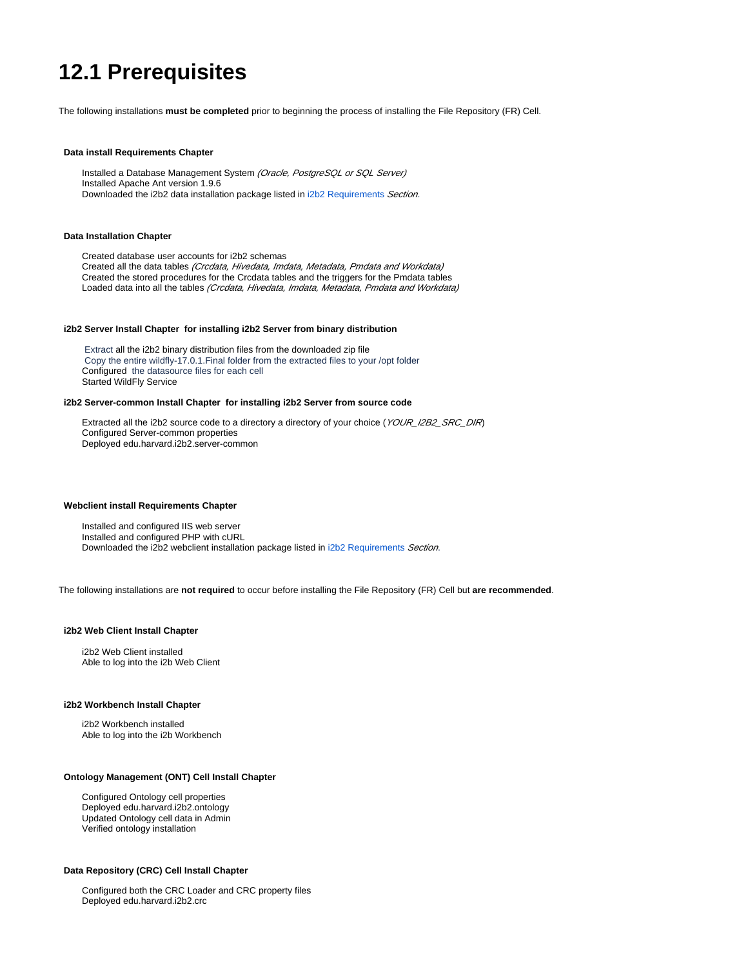# **12.1 Prerequisites**

The following installations **must be completed** prior to beginning the process of installing the File Repository (FR) Cell.

#### **Data install Requirements Chapter**

Installed a Database Management System (Oracle, PostgreSQL or SQL Server) Installed Apache Ant version 1.9.6 Downloaded the i2b2 data installation package listed in [i2b2 Requirements](https://community.i2b2.org/wiki/x/Q4JsAQ) Section.

#### **Data Installation Chapter**

 Created database user accounts for i2b2 schemas Created all the data tables (Crcdata, Hivedata, Imdata, Metadata, Pmdata and Workdata) Created the stored procedures for the Crcdata tables and the triggers for the Pmdata tables Loaded data into all the tables (Crcdata, Hivedata, Imdata, Metadata, Pmdata and Workdata)

#### **i2b2 Server Install Chapter for installing i2b2 Server from binary distribution**

 Extract all the i2b2 binary distribution files from the downloaded zip file Copy the entire wildfly-17.0.1.Final folder from the extracted files to your /opt folder Configured the datasource files for each cell Started WildFly Service

#### **i2b2 Server-common Install Chapter for installing i2b2 Server from source code**

Extracted all the i2b2 source code to a directory a directory of your choice (YOUR\_I2B2\_SRC\_DIR) Configured Server-common properties Deployed edu.harvard.i2b2.server-common

#### **Webclient install Requirements Chapter**

 Installed and configured IIS web server Installed and configured PHP with cURL Downloaded the i2b2 webclient installation package listed in [i2b2 Requirements](https://community.i2b2.org/wiki/x/Q4JsAQ) Section.

The following installations are **not required** to occur before installing the File Repository (FR) Cell but **are recommended**.

#### **i2b2 Web Client Install Chapter**

 i2b2 Web Client installed Able to log into the i2b Web Client

#### **i2b2 Workbench Install Chapter**

 i2b2 Workbench installed Able to log into the i2b Workbench

#### **Ontology Management (ONT) Cell Install Chapter**

 Configured Ontology cell properties Deployed edu.harvard.i2b2.ontology Updated Ontology cell data in Admin Verified ontology installation

### **Data Repository (CRC) Cell Install Chapter**

 Configured both the CRC Loader and CRC property files Deployed edu.harvard.i2b2.crc